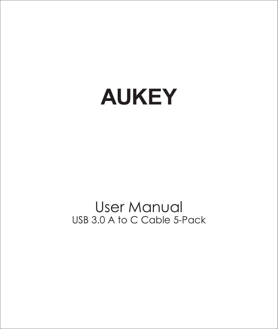# **AUKEY**

## User Manual USB 3.0 A to C Cable 5-Pack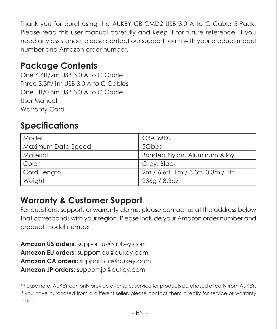Thank you for purchasing the AUKEY CB-CMD2 USB 3.0 A to C Cable 5-Pack. Please read this user manual carefully and keep it for future reference. If you need any assistance, please contact our support team with your product model number and Amazon order number.

#### **Package Contents**

One 6.6ft/2m USB 3.0 A to C Cable Three 3.3ft/1m USB 3.0 A to C Cables One 1ft/0.3m USB 3.0 A to C Cable User Manual Warranty Card

#### **Specifications**

| Model              | CB-CMD <sub>2</sub>                |
|--------------------|------------------------------------|
| Maximum Data Speed | 5Gbps                              |
| Material           | Braided Nylon, Aluminum Alloy      |
| Color              | Grev, Black                        |
| Cord Length        | 2m / 6.6ft, 1m / 3.3ft, 0.3m / 1ft |
| Weight             | 236g / 8.3oz                       |

#### **Warranty & Customer Support**

For questions, support, or warranty claims, please contact us at the address below that corresponds with your region. Please include your Amazon order number and product model number.

**Amazon US orders:** support.us@aukey.com **Amazon EU orders:** support.eu@aukey.com **Amazon CA orders:** support.ca@aukey.com **Amazon JP orders:** support.jp@aukey.com

\*Please note, AUKEY can only provide after sales service for products purchased directly from AUKEY. If you have purchased from a different seller, please contact them directly for service or warranty issues.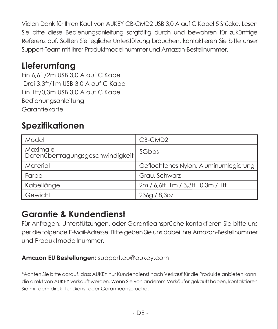Vielen Dank für Ihren Kauf von AUKEY CB-CMD2 USB 3,0 A auf C Kabel 5 Stücke. Lesen Sie bitte diese Bedienungsanleitung sorgfältig durch und bewahren für zukünftige Referenz auf. Sollten Sie jegliche Unterstützung brauchen, kontaktieren Sie bitte unser Support-Team mit Ihrer Produktmodellnummer und Amazon-Bestellnummer.

## **Lieferumfang**

Ein 6,6ft/2m USB 3,0 A auf C Kabel Drei 3,3ft/1m USB 3,0 A auf C Kabel Ein 1ft/0,3m USB 3,0 A auf C Kabel Bedienungsanleitung Garantiekarte

## **Spezifikationen**

| Modell                                       | CB-CMD <sub>2</sub>                   |
|----------------------------------------------|---------------------------------------|
| Maximale<br>Datenübertragungsgeschwindigkeit | 5Gbps                                 |
| Material                                     | Geflochtenes Nylon, Aluminumlegierung |
| Farbe                                        | Grau, Schwarz                         |
| Kabellänge                                   | 2m / 6,6ft 1m / 3,3ft 0,3m / 1ft      |
| Gewicht                                      | 236g/8,3oz                            |

#### **Garantie & Kundendienst**

Für Anfragen, Unterstützungen, oder Garantieansprüche kontaktieren Sie bitte uns per die folgende E-Mail-Adresse. Bitte geben Sie uns dabei Ihre Amazon-Bestellnummer und Produktmodellnummer.

#### **Amazon EU Bestellungen:** support.eu@aukey.com

\*Achten Sie bitte darauf, dass AUKEY nur Kundendienst nach Verkauf für die Produkte anbieten kann, die direkt von AUKEY verkauft werden. Wenn Sie von anderem Verkäufer gekauft haben, kontaktieren Sie mit dem direkt für Dienst oder Garantieansprüche.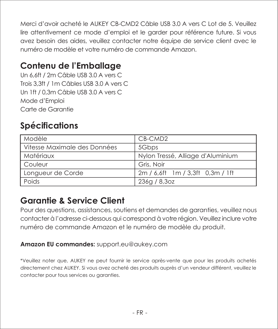Merci d'avoir acheté le AUKEY CB-CMD2 Câble USB 3.0 A vers C Lot de 5. Veuillez lire attentivement ce mode d'emploi et le garder pour référence future. Si vous avez besoin des aides, veuillez contacter notre équipe de service client avec le numéro de modèle et votre numéro de commande Amazon.

## **Contenu de l'Emballage**

Un 6,6ft / 2m Câble USB 3.0 A vers C Trois 3,3ft / 1m Câbles USB 3.0 A vers C Un 1ft / 0,3m Câble USB 3.0 A vers C Mode d'Emploi Carte de Garantie

## **Spécifications**

| Modèle                       | CB-CMD2                           |  |
|------------------------------|-----------------------------------|--|
| Vitesse Maximale des Données | 5Gbps                             |  |
| Matériaux                    | Nylon Tressé, Alliage d'Aluminium |  |
| Couleur                      | Gris, Noir                        |  |
| Longueur de Corde            | 2m / 6.6ft 1m / 3.3ft 0.3m / 1ft  |  |
| Poids                        | 236g / 8,3oz                      |  |

#### **Garantie & Service Client**

Pour des questions, assistances, soutiens et demandes de garanties, veuillez nous contacter à l'adresse ci-dessous qui correspond à votre région. Veuillez inclure votre numéro de commande Amazon et le numéro de modèle du produit.

#### **Amazon EU commandes:** support.eu@aukey.com

\*Veuillez noter que, AUKEY ne peut fournir le service après-vente que pour les produits achetés directement chez AUKEY. Si vous avez acheté des produits auprès d'un vendeur différent, veuillez le contacter pour tous services ou garanties.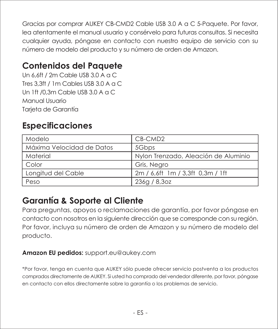Gracias por comprar AUKEY CB-CMD2 Cable USB 3.0 A a C 5-Paquete. Por favor, lea atentamente el manual usuario y consérvelo para futuras consultas. Si necesita cualquier ayuda, póngase en contacto con nuestro equipo de servicio con su número de modelo del producto y su número de orden de Amazon.

## **Contenidos del Paquete**

Un 6,6ft / 2m Cable USB 3.0 A a C Tres 3,3ft / 1m Cables USB 3.0 A a C Un 1ft /0,3m Cable USB 3.0 A a C Manual Usuario Tarjeta de Garantía

## **Especificaciones**

| Modelo                    | CB-CMD2                              |  |
|---------------------------|--------------------------------------|--|
| Máxima Velocidad de Datos | 5Gbps                                |  |
| Material                  | Nylon Trenzado, Aleación de Aluminio |  |
| Color                     | Gris, Negro                          |  |
| Longitud del Cable        | 2m / 6.6ft 1m / 3.3ft 0.3m / 1ft     |  |
| Peso                      | 236q / 8,3oz                         |  |

## **Garantía & Soporte al Cliente**

Para preguntas, apoyos o reclamaciones de garantía, por favor póngase en contacto con nosotros en la siguiente dirección que se corresponde con su región. Por favor, incluya su número de orden de Amazon y su número de modelo del producto.

#### **Amazon EU pedidos:** support.eu@aukey.com

\*Por favor, tenga en cuenta que AUKEY sólo puede ofrecer servicio postventa a los productos comprados directamente de AUKEY. Si usted ha comprado del vendedor diferente, por favor, póngase en contacto con ellos directamente sobre la garantía o los problemas de servicio.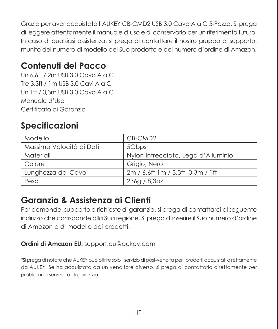Grazie per aver acquistato l'AUKEY CB-CMD2 USB 3.0 Cavo A a C 5-Pezzo. Si prega di leggere attentamente il manuale d'uso e di conservarlo per un riferimento futuro. In caso di qualsiasi assistenza, si prega di contattare il nostro gruppo di supporto, munito del numero di modello del Suo prodotto e del numero d'ordine di Amazon.

## **Contenuti del Pacco**

Un 6,6ft / 2m USB 3.0 Cavo A a C Tre 3,3ft / 1m USB 3.0 Cavi A a C Un 1ft / 0,3m USB 3.0 Cavo A a C Manuale d'Uso Certificato di Garanzia

## **Specificazioni**

| Modello                  | CB-CMD2                             |  |
|--------------------------|-------------------------------------|--|
| Massima Velocità di Dati | 5Gbps                               |  |
| Materiali                | Nylon Intrecciato, Lega d'Alluminio |  |
| Colore                   | Griaio, Nero                        |  |
| Lunghezza del Cavo       | 2m / 6.6ft 1m / 3.3ft 0.3m / 1ft    |  |
| Peso                     | 236g / 8,3oz                        |  |

#### **Garanzia & Assistenza ai Clienti**

Per domande, supporto o richieste di garanzia, si prega di contattarci al seguente indirizzo che corrisponde alla Sua regione. Si prega d'inserire il Suo numero d'ordine di Amazon e di modello dei prodotti.

#### **Ordini di Amazon EU:** support.eu@aukey.com

\*Si prega di notare che AUKEY può offrire solo il servizio di post-vendita per i prodotti acquistati direttamente da AUKEY. Se ha acquistato da un venditore diverso, si prega di contattarlo direttamente per problemi di servizio o di garanzia.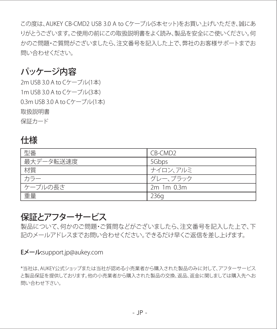この度は、AUKEY CB-CMD2 USB 3.0 A to Cケーブル(5本セット)をお買い上げいただき、誠にあ りがとうございます。ご使用の前にこの取扱説明書をよく読み、製品を安全にご使いください。何 かのご問題・ご質問がございましたら、注文番号を記入した上で、弊社のお客様サポートまでお 問い合わせください。

#### パッケージ内容

2m USB 3.0 A to Cケーブル(1本) 1m USB 3.0 A to Cケーブル(3本) 0.3m USB 3.0 A to Cケーブル(1本) 取扱説明書 保証カード

#### 仕様

| 型番        | CB-CMD <sub>2</sub> |
|-----------|---------------------|
| 最大データ転送速度 | 5Gbps               |
| 材質        | ナイロン、アルミ            |
| カラー       | グレー、ブラック            |
| ケーブルの長さ   | 2m 1m 0.3m          |
| 重量        | 236a                |

#### 保証とアフターサービス

製品について、何かのご問題・ご質問などがございましたら、注文番号を記入した上で、下 記のメールアドレスまでお問い合わせください。できるだけ早くご返信を差し上げます。

#### Eメール:support.jp@aukey.com

\*当社は、AUKEY公式ショップまたは当社が認める小売業者から購入された製品のみに対して、アフターサービス と製品保証を提供しております。他の小売業者から購入された製品の交換、返品、返金に関しましては購入先へお 問い合わせ下さい。